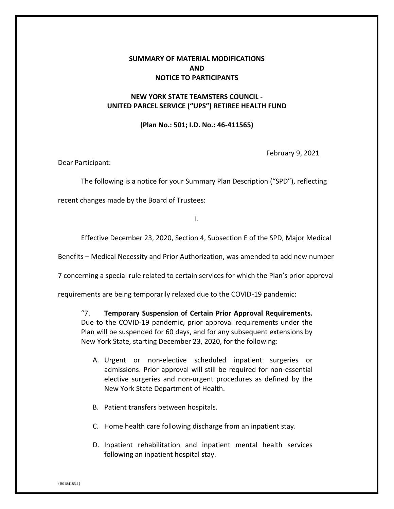## **SUMMARY OF MATERIAL MODIFICATIONS AND NOTICE TO PARTICIPANTS**

## **NEW YORK STATE TEAMSTERS COUNCIL - UNITED PARCEL SERVICE ("UPS") RETIREE HEALTH FUND**

## **(Plan No.: 501; I.D. No.: 46-411565)**

February 9, 2021

Dear Participant:

The following is a notice for your Summary Plan Description ("SPD"), reflecting

recent changes made by the Board of Trustees:

I.

Effective December 23, 2020, Section 4, Subsection E of the SPD, Major Medical

Benefits – Medical Necessity and Prior Authorization, was amended to add new number

7 concerning a special rule related to certain services for which the Plan's prior approval

requirements are being temporarily relaxed due to the COVID-19 pandemic:

"7. **Temporary Suspension of Certain Prior Approval Requirements.** Due to the COVID-19 pandemic, prior approval requirements under the Plan will be suspended for 60 days, and for any subsequent extensions by New York State, starting December 23, 2020, for the following:

- A. Urgent or non-elective scheduled inpatient surgeries or admissions. Prior approval will still be required for non-essential elective surgeries and non-urgent procedures as defined by the New York State Department of Health.
- B. Patient transfers between hospitals.
- C. Home health care following discharge from an inpatient stay.
- D. Inpatient rehabilitation and inpatient mental health services following an inpatient hospital stay.